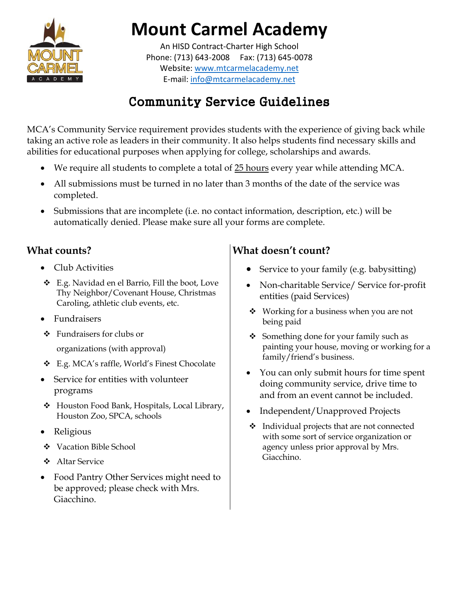

# **Mount Carmel Academy**

An HISD Contract-Charter High School Phone: (713) 643-2008 Fax: (713) 645-0078 Website[: www.mtcarmelacademy.net](http://www.mtcarmelacademy.net/) E-mail: [info@mtcarmelacademy.net](mailto:info@mtcarmelacademy.net)

## Community Service Guidelines

MCA's Community Service requirement provides students with the experience of giving back while taking an active role as leaders in their community. It also helps students find necessary skills and abilities for educational purposes when applying for college, scholarships and awards.

- We require all students to complete a total of 25 hours every year while attending MCA.
- All submissions must be turned in no later than 3 months of the date of the service was completed.
- Submissions that are incomplete (i.e. no contact information, description, etc.) will be automatically denied. Please make sure all your forms are complete.

#### **What counts?**

- Club Activities
- ❖ E.g. Navidad en el Barrio, Fill the boot, Love Thy Neighbor/Covenant House, Christmas Caroling, athletic club events, etc.
- Fundraisers
- ❖ Fundraisers for clubs or

organizations (with approval)

- ❖ E.g. MCA's raffle, World's Finest Chocolate
- Service for entities with volunteer programs
- ❖ Houston Food Bank, Hospitals, Local Library, Houston Zoo, SPCA, schools
- Religious
- ❖ Vacation Bible School
- ❖ Altar Service
- Food Pantry Other Services might need to be approved; please check with Mrs. Giacchino.

### **What doesn't count?**

- Service to your family (e.g. babysitting)
- Non-charitable Service/ Service for-profit entities (paid Services)
- ❖ Working for a business when you are not being paid
- ❖ Something done for your family such as painting your house, moving or working for a family/friend's business.
- You can only submit hours for time spent doing community service, drive time to and from an event cannot be included.
- Independent/Unapproved Projects
- ❖ Individual projects that are not connected with some sort of service organization or agency unless prior approval by Mrs. Giacchino.